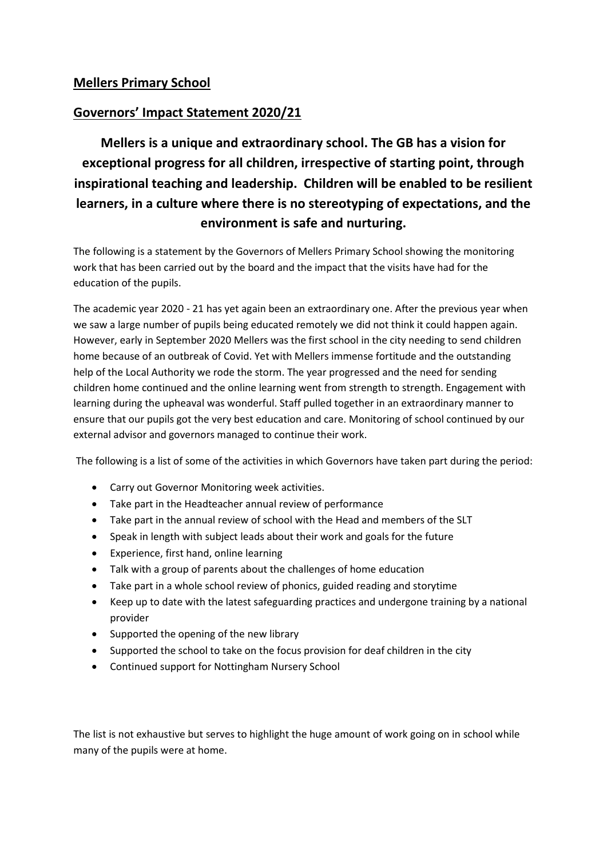# **Mellers Primary School**

# **Governors' Impact Statement 2020/21**

**Mellers is a unique and extraordinary school. The GB has a vision for exceptional progress for all children, irrespective of starting point, through inspirational teaching and leadership. Children will be enabled to be resilient learners, in a culture where there is no stereotyping of expectations, and the environment is safe and nurturing.**

The following is a statement by the Governors of Mellers Primary School showing the monitoring work that has been carried out by the board and the impact that the visits have had for the education of the pupils.

The academic year 2020 - 21 has yet again been an extraordinary one. After the previous year when we saw a large number of pupils being educated remotely we did not think it could happen again. However, early in September 2020 Mellers was the first school in the city needing to send children home because of an outbreak of Covid. Yet with Mellers immense fortitude and the outstanding help of the Local Authority we rode the storm. The year progressed and the need for sending children home continued and the online learning went from strength to strength. Engagement with learning during the upheaval was wonderful. Staff pulled together in an extraordinary manner to ensure that our pupils got the very best education and care. Monitoring of school continued by our external advisor and governors managed to continue their work.

The following is a list of some of the activities in which Governors have taken part during the period:

- Carry out Governor Monitoring week activities.
- Take part in the Headteacher annual review of performance
- Take part in the annual review of school with the Head and members of the SLT
- Speak in length with subject leads about their work and goals for the future
- Experience, first hand, online learning
- Talk with a group of parents about the challenges of home education
- Take part in a whole school review of phonics, guided reading and storytime
- Keep up to date with the latest safeguarding practices and undergone training by a national provider
- Supported the opening of the new library
- Supported the school to take on the focus provision for deaf children in the city
- Continued support for Nottingham Nursery School

The list is not exhaustive but serves to highlight the huge amount of work going on in school while many of the pupils were at home.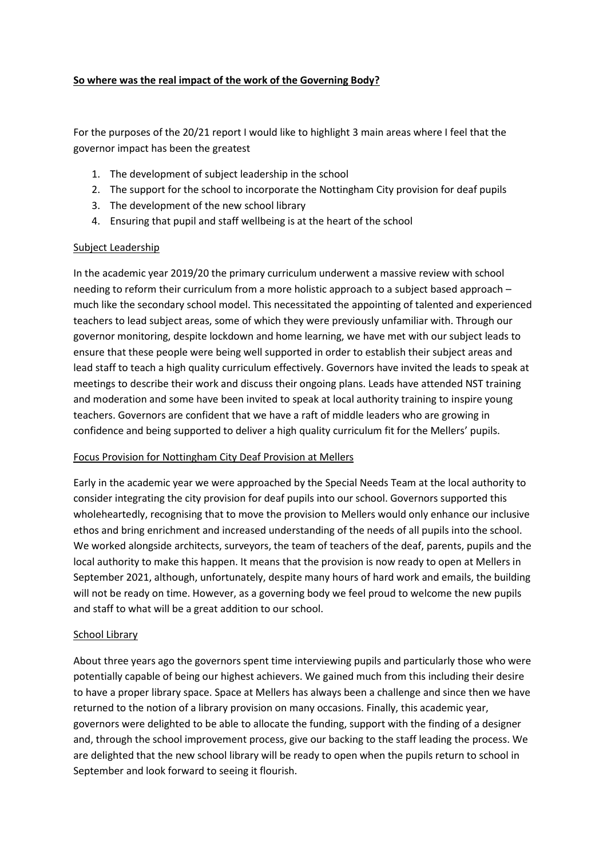### **So where was the real impact of the work of the Governing Body?**

For the purposes of the 20/21 report I would like to highlight 3 main areas where I feel that the governor impact has been the greatest

- 1. The development of subject leadership in the school
- 2. The support for the school to incorporate the Nottingham City provision for deaf pupils
- 3. The development of the new school library
- 4. Ensuring that pupil and staff wellbeing is at the heart of the school

## Subject Leadership

In the academic year 2019/20 the primary curriculum underwent a massive review with school needing to reform their curriculum from a more holistic approach to a subject based approach – much like the secondary school model. This necessitated the appointing of talented and experienced teachers to lead subject areas, some of which they were previously unfamiliar with. Through our governor monitoring, despite lockdown and home learning, we have met with our subject leads to ensure that these people were being well supported in order to establish their subject areas and lead staff to teach a high quality curriculum effectively. Governors have invited the leads to speak at meetings to describe their work and discuss their ongoing plans. Leads have attended NST training and moderation and some have been invited to speak at local authority training to inspire young teachers. Governors are confident that we have a raft of middle leaders who are growing in confidence and being supported to deliver a high quality curriculum fit for the Mellers' pupils.

## Focus Provision for Nottingham City Deaf Provision at Mellers

Early in the academic year we were approached by the Special Needs Team at the local authority to consider integrating the city provision for deaf pupils into our school. Governors supported this wholeheartedly, recognising that to move the provision to Mellers would only enhance our inclusive ethos and bring enrichment and increased understanding of the needs of all pupils into the school. We worked alongside architects, surveyors, the team of teachers of the deaf, parents, pupils and the local authority to make this happen. It means that the provision is now ready to open at Mellers in September 2021, although, unfortunately, despite many hours of hard work and emails, the building will not be ready on time. However, as a governing body we feel proud to welcome the new pupils and staff to what will be a great addition to our school.

#### School Library

About three years ago the governors spent time interviewing pupils and particularly those who were potentially capable of being our highest achievers. We gained much from this including their desire to have a proper library space. Space at Mellers has always been a challenge and since then we have returned to the notion of a library provision on many occasions. Finally, this academic year, governors were delighted to be able to allocate the funding, support with the finding of a designer and, through the school improvement process, give our backing to the staff leading the process. We are delighted that the new school library will be ready to open when the pupils return to school in September and look forward to seeing it flourish.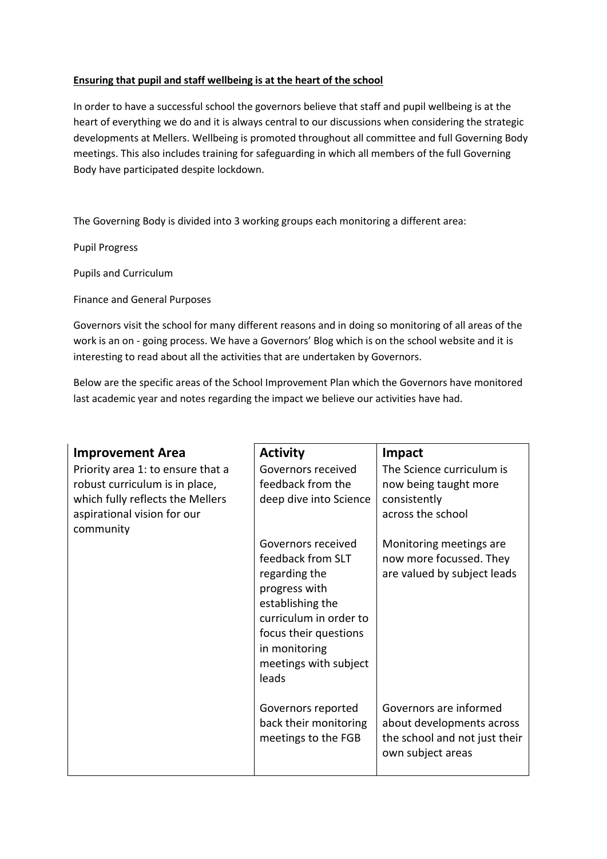### **Ensuring that pupil and staff wellbeing is at the heart of the school**

In order to have a successful school the governors believe that staff and pupil wellbeing is at the heart of everything we do and it is always central to our discussions when considering the strategic developments at Mellers. Wellbeing is promoted throughout all committee and full Governing Body meetings. This also includes training for safeguarding in which all members of the full Governing Body have participated despite lockdown.

The Governing Body is divided into 3 working groups each monitoring a different area:

Pupil Progress

Pupils and Curriculum

Finance and General Purposes

Governors visit the school for many different reasons and in doing so monitoring of all areas of the work is an on - going process. We have a Governors' Blog which is on the school website and it is interesting to read about all the activities that are undertaken by Governors.

Below are the specific areas of the School Improvement Plan which the Governors have monitored last academic year and notes regarding the impact we believe our activities have had.

| <b>Improvement Area</b>                                                                                                                             | <b>Activity</b>                                                                                                                                                                                     | Impact                                                                                                    |
|-----------------------------------------------------------------------------------------------------------------------------------------------------|-----------------------------------------------------------------------------------------------------------------------------------------------------------------------------------------------------|-----------------------------------------------------------------------------------------------------------|
| Priority area 1: to ensure that a<br>robust curriculum is in place,<br>which fully reflects the Mellers<br>aspirational vision for our<br>community | Governors received<br>feedback from the<br>deep dive into Science                                                                                                                                   | The Science curriculum is<br>now being taught more<br>consistently<br>across the school                   |
|                                                                                                                                                     | Governors received<br>feedback from SLT<br>regarding the<br>progress with<br>establishing the<br>curriculum in order to<br>focus their questions<br>in monitoring<br>meetings with subject<br>leads | Monitoring meetings are<br>now more focussed. They<br>are valued by subject leads                         |
|                                                                                                                                                     | Governors reported<br>back their monitoring<br>meetings to the FGB                                                                                                                                  | Governors are informed<br>about developments across<br>the school and not just their<br>own subject areas |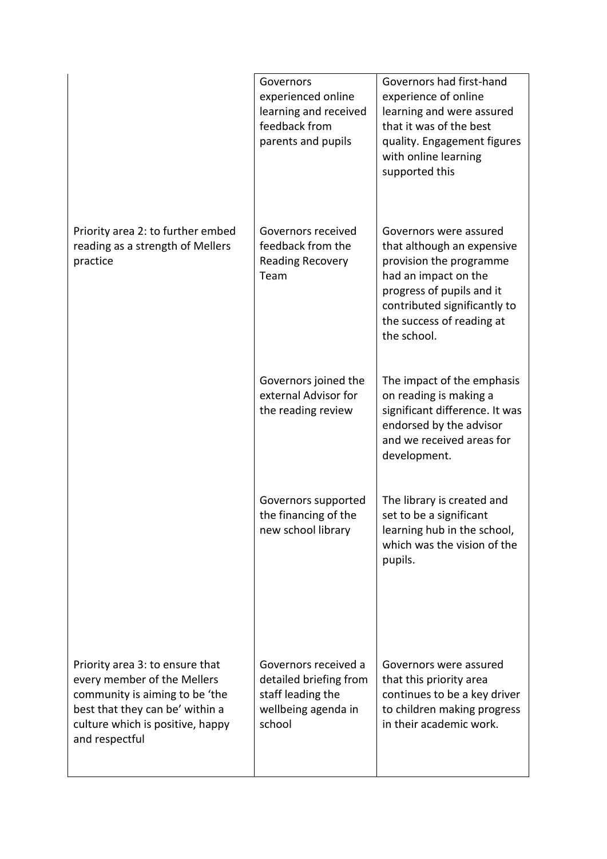|                                                                                                                                                                                           | Governors<br>experienced online<br>learning and received<br>feedback from<br>parents and pupils      | Governors had first-hand<br>experience of online<br>learning and were assured<br>that it was of the best<br>quality. Engagement figures<br>with online learning<br>supported this                                |
|-------------------------------------------------------------------------------------------------------------------------------------------------------------------------------------------|------------------------------------------------------------------------------------------------------|------------------------------------------------------------------------------------------------------------------------------------------------------------------------------------------------------------------|
| Priority area 2: to further embed<br>reading as a strength of Mellers<br>practice                                                                                                         | Governors received<br>feedback from the<br><b>Reading Recovery</b><br>Team                           | Governors were assured<br>that although an expensive<br>provision the programme<br>had an impact on the<br>progress of pupils and it<br>contributed significantly to<br>the success of reading at<br>the school. |
|                                                                                                                                                                                           | Governors joined the<br>external Advisor for<br>the reading review                                   | The impact of the emphasis<br>on reading is making a<br>significant difference. It was<br>endorsed by the advisor<br>and we received areas for<br>development.                                                   |
|                                                                                                                                                                                           | Governors supported<br>the financing of the<br>new school library                                    | The library is created and<br>set to be a significant<br>learning hub in the school,<br>which was the vision of the<br>pupils.                                                                                   |
| Priority area 3: to ensure that<br>every member of the Mellers<br>community is aiming to be 'the<br>best that they can be' within a<br>culture which is positive, happy<br>and respectful | Governors received a<br>detailed briefing from<br>staff leading the<br>wellbeing agenda in<br>school | Governors were assured<br>that this priority area<br>continues to be a key driver<br>to children making progress<br>in their academic work.                                                                      |